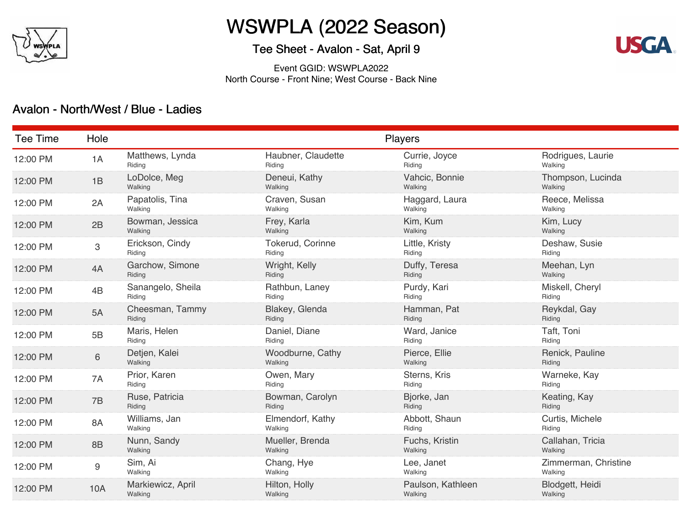

# WSWPLA (2022 Season)

## Tee Sheet - Avalon - Sat, April 9

**USGA** 

Event GGID: WSWPLA2022 North Course - Front Nine; West Course - Back Nine

#### Avalon - North/West / Blue - Ladies

| Tee Time | Hole      | Players                      |                              |                              |                                 |  |  |
|----------|-----------|------------------------------|------------------------------|------------------------------|---------------------------------|--|--|
| 12:00 PM | 1A        | Matthews, Lynda<br>Riding    | Haubner, Claudette<br>Riding | Currie, Joyce<br>Riding      | Rodrigues, Laurie<br>Walking    |  |  |
| 12:00 PM | 1B        | LoDolce, Meg<br>Walking      | Deneui, Kathy<br>Walking     | Vahcic, Bonnie<br>Walking    | Thompson, Lucinda<br>Walking    |  |  |
| 12:00 PM | 2A        | Papatolis, Tina<br>Walking   | Craven, Susan<br>Walking     | Haggard, Laura<br>Walking    | Reece, Melissa<br>Walking       |  |  |
| 12:00 PM | 2B        | Bowman, Jessica<br>Walking   | Frey, Karla<br>Walking       | Kim, Kum<br>Walking          | Kim, Lucy<br>Walking            |  |  |
| 12:00 PM | 3         | Erickson, Cindy<br>Riding    | Tokerud, Corinne<br>Riding   | Little, Kristy<br>Riding     | Deshaw, Susie<br>Riding         |  |  |
| 12:00 PM | 4A        | Garchow, Simone<br>Riding    | Wright, Kelly<br>Riding      | Duffy, Teresa<br>Riding      | Meehan, Lyn<br>Walking          |  |  |
| 12:00 PM | 4B        | Sanangelo, Sheila<br>Riding  | Rathbun, Laney<br>Riding     | Purdy, Kari<br>Riding        | Miskell, Cheryl<br>Riding       |  |  |
| 12:00 PM | 5A        | Cheesman, Tammy<br>Riding    | Blakey, Glenda<br>Riding     | Hamman, Pat<br>Riding        | Reykdal, Gay<br>Riding          |  |  |
| 12:00 PM | 5B        | Maris, Helen<br>Riding       | Daniel, Diane<br>Riding      | Ward, Janice<br>Riding       | Taft, Toni<br>Riding            |  |  |
| 12:00 PM | 6         | Detjen, Kalei<br>Walking     | Woodburne, Cathy<br>Walking  | Pierce, Ellie<br>Walking     | Renick, Pauline<br>Riding       |  |  |
| 12:00 PM | 7A        | Prior, Karen<br>Riding       | Owen, Mary<br>Riding         | Sterns, Kris<br>Riding       | Warneke, Kay<br>Riding          |  |  |
| 12:00 PM | 7B        | Ruse, Patricia<br>Riding     | Bowman, Carolyn<br>Riding    | Bjorke, Jan<br>Riding        | Keating, Kay<br>Riding          |  |  |
| 12:00 PM | <b>8A</b> | Williams, Jan<br>Walking     | Elmendorf, Kathy<br>Walking  | Abbott, Shaun<br>Riding      | Curtis, Michele<br>Riding       |  |  |
| 12:00 PM | 8B        | Nunn, Sandy<br>Walking       | Mueller, Brenda<br>Walking   | Fuchs, Kristin<br>Walking    | Callahan, Tricia<br>Walking     |  |  |
| 12:00 PM | $9\,$     | Sim, Ai<br>Walking           | Chang, Hye<br>Walking        | Lee, Janet<br>Walking        | Zimmerman, Christine<br>Walking |  |  |
| 12:00 PM | 10A       | Markiewicz, April<br>Walking | Hilton, Holly<br>Walking     | Paulson, Kathleen<br>Walking | Blodgett, Heidi<br>Walking      |  |  |